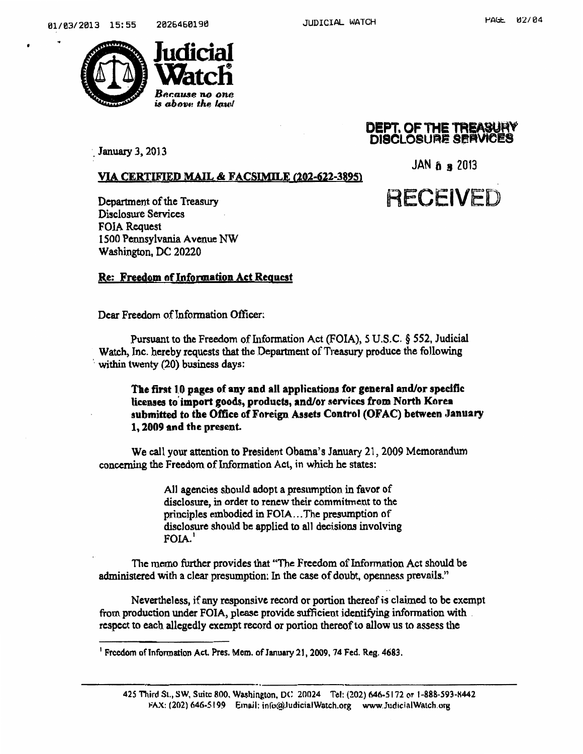

## DEPT. OF THE TR&ASUMV de D**ISCLOSURE 9ERVICES**<br>
Tanuary 3, 2013

JAN  $\delta$  a 2013

**RECEIVED** 

## VIA CERTIFIED MAIL & FACSIMILE (202-622-3895)

Department of the Treasury Disclosure Services FOIA Request 1500 Pennsylvania Avenue NW Washington, DC 20220

## Re: Freedom nf Information Act Request

Dear Freedom of Information Officer:

Pursuant to the Freedom of Information Act (FOIA), 5 U.S.C. § 552, Judicial Watch, Inc. hereby requests that the Department of Treasury produce the following within twenty  $(20)$  business days:

The tint 1.0 pages of any and all applications for general and/or specific licenses to' import goods, products, and/or services from North Korea submitted to the Office of Foreign Assets Control (OFAC) between January 1, 2009 and the present.

We call your attention to President Obama's January 21, 2009 Memorandum concerning the Freedom of Information Act, in which he states:

> All agencies should adopt a presumption in favor of disclosure, in order to renew their commitment to the principles embodied in FOIA ... The presumption of disclosure should be applied to all decisions involving  $FOLA.$ <sup>1</sup>

The memo further provides that "The Freedom of Information Act should be administered with a clear presumption: In the case of doubt, openness prevails."

Nevertheless, if any responsive record or portion thereof is claimed to be exempt from production under FOIA, please provide sufficient identifying information with respect to each allegedly exempt record or portion thereof to allow us to assess the

<sup>&</sup>lt;sup>1</sup> Freedom of Information Act. Pres. Mem. of January 21, 2009, 74 Fed. Reg. 4683.

<sup>425</sup> Third St., SW, Suite 800. Washington, DC 20024 Tel: (202) 646-5172 or I-888-S93-K442 FAX: (202) 646-5199 Email: info@ludicialWatch.org www.JudicialWatch.org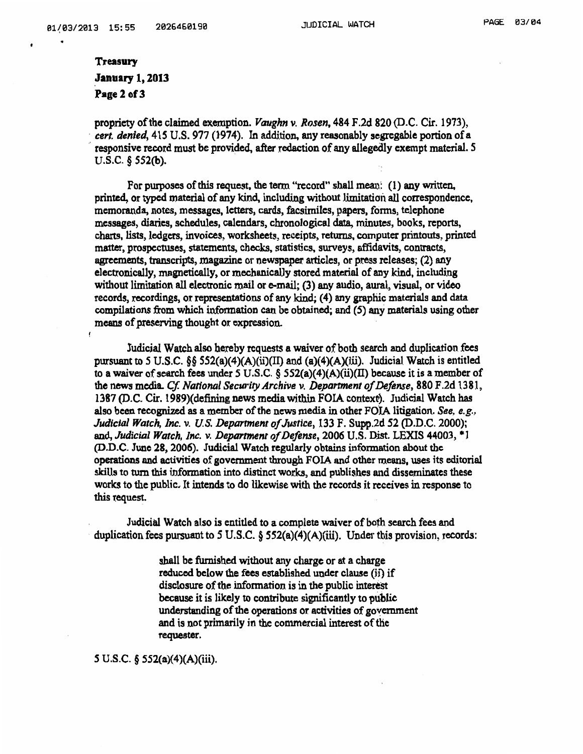## Treasury January 1, 2013 Page 2 of 3

propriety of the claimed exemption. *Vaughn v. Rosen,* 484 F.2d 820 (D.C. Cir. 1973), *cert. denied,* 415 U.S. 977 (1974). In addition, any reasonably segregable portion of a ·' responsive record must be provided, after redaction of any allegedly exempt material. *5*  U.S.C. § SS2(b).

For purposes of this request, the term "record" shall mean:  $(1)$  any written. printed, or typed material of any kind, including without limitation all correspondence, memoranda, notes, messages, letters, cards, facsimiles, papers, fonns, telephone messages, diaries, schedules, calendars, chronological data, minutes, books, reports, charts, lists, ledgers, invoices, worksheets, receipts, returns, computer printouts, printed matter, prospectuses, statements, checks, statistics, surveys, affidavits, contracts, agreements, transcripts, magazine or newspaper articles, or press releases; (2) any electronically, magnetically, or mechanically stored material of any kind, including without limitation all electronic mail or  $e$ -mail; (3) any audio, aural, visual, or video records, recordings, or representations of any kind; (4) any graphic materials and data compilations from which information can be obtained; and (5) any materials using other means of preserving thought or expression.

Judicial Watch also hereby requests a waiver of both search and duplication. fees pursuant to 5 U.S.C.  $\S$   $\S$   $552(a)(4)(A)(ii)(II)$  and  $(a)(4)(A)(iii)$ . Judicial Watch is entitled to a waiver of search fees under *5* U.S .C. § 552(a)( 4)(A)(ii)(II) because it is a member of the news media. *Cf. National Secw·ity Archive v. Department of Defense,* 880 F .2d 13 81, 1387 (D.C. Cir. 1989)(defining news media within FOIA context). Judicial Watch has also been recognized as a member of the news media in other FOIA litigation. See, e.g., *Judicial Watch, Inc.* v. *U.S. Department of Justice,* 133 F. Supp.2d *52* (D.D.C. 2000); and, *Judicial Watch, Inc.* v. *Department ofDefonse,* 2006 U.S. Dist. LEXIS 44003, \*1 (D.D.C. June 28, 2006). Judicial Watch regularly obtains information about the operations and activities of government through FOIA and other means, uses its editorial skills to turn this information into distinct works, and publishes and disseminates these works to the public. It intends to do likewise with the records it receives in response to this request.

Judicial Watch also is entitled to a complete waiver of both search fees and duplication fees pursuant to *5* U.S.C. § 552(a)(4)(A)(iii). Under tbis provision, records:

> shall be furnished without any charge or at a charge reduced below the fees established under clause (ii) if disclosure of the information is in the public interest because it is likely to contribute significantly to publie understanding of the operations or activities of goyemment and is not primarily in the conunercial interest of the requester.

*S* U.S.C. § 552(a)(4)(A)(iii).